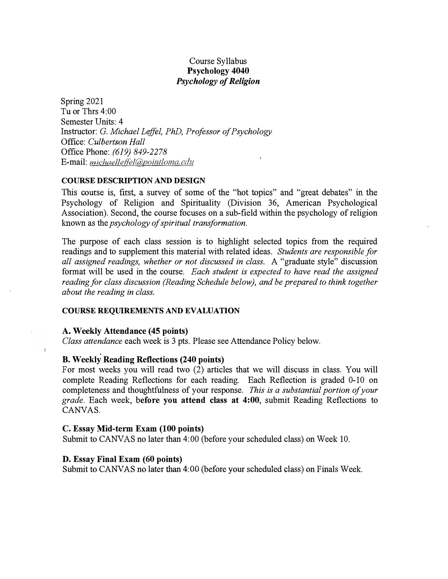# Course Syllabus **Psychology 4040**  *Psychology of Religion*

Spring 2021 Tu or Thrs 4:00 Semester Units: 4 Instructor: G. *Michael Leffel, PhD, Professor of Psychology*  Office: *Culbertson Hall*  Office Phone: *(619) 849-2278*  E-mail: michaelleffel@pointloma.edu

## **COURSE DESCRIPTION AND DESIGN**

This course is, first, a survey of some of the "hot topics" and "great debates" in the Psychology of Religion and Spirituality (Division 36, American Psychological Association). Second, the course focuses on a sub-field within the psychology of religion known as the *psychology of spiritual transformation.* 

The purpose of each class session is to highlight selected topics from the required readings and to supplement this material with related ideas. *Students are responsible for all assigned readings, whether or not discussed in class.* A "graduate style" discussion format will be used in the course. *Each student is expected to have read the assigned reading for class discussion (Reading Schedule below), and be prepared to think together about the reading in class.* 

### **COURSE REQUIREMENTS AND EVALUATION**

### **A. Weekly Attendance ( 45 points)**

 $\mathbf{L}$ 

*Class attendance* each week is 3 pts. Please see Attendance Policy below.

## **B. Weekly Reading Reflections (240 points)**

For most weeks you will read two (2) articles that we will discuss in class. You will complete Reading Reflections for each reading. Each Reflection is graded 0-10 on completeness and thoughtfulness of your response. *This is a substantial portion of your grade.* Each week, **before you attend class at 4:00,** submit Reading Reflections to CANVAS.

### C. **Essay Mid-term Exam (100 points)**

Submit to CANVAS no later than 4:00 (before your scheduled class) on Week 10.

### **D. Essay Final Exam (60 points)**

Submit to CANVAS no later than 4: 00 (before your scheduled class) on Finals Week.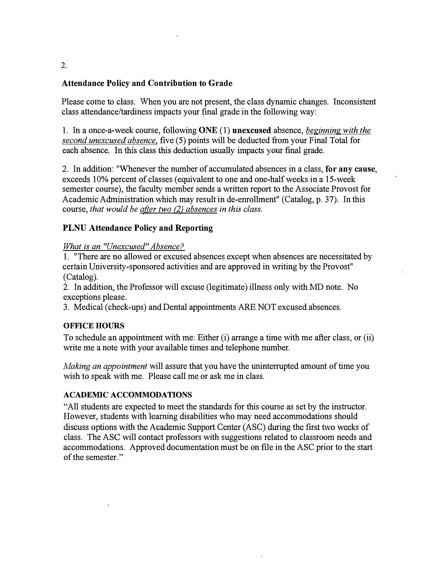# Attendance Policy and Contribution to Grade

Please come to class. When you are not present, the class dynamic changes. Inconsistent class attendance/tardiness impacts your final grade in the following way:

1. In a once-a-week course, following ONE (1) **unexcused** absence, *beginning with the second unexcused absence*, five (5) points will be deducted from your Final Total for each absence. In this class this deduction usually impacts your final grade.

2. In addition: "Whenever the number of accumulated absences in a class, for any cause, exceeds 10% percent of classes (equivalent to one and one-half weeks in a 15-week semester course), the faculty member sends a written report to the Associate Provost for Academic Administration which may result in de-enrollment" (Catalog, p. 37). In this course, *that would be after two (2) absences in this class.*

# **PLNU Attendance Policy and Reporting**

# *What is an "Unexcused" Absence?*

1. "There are no allowed or excused absences except when absences are necessitated by certain University-sponsored activities and are approved in writing by the Provost" (Catalog).

2. In addition, the Professor will excuse (legitimate) illness only with MD note. No exceptions please.

3. Medical (check-ups) and Dental appointments ARE NOT excused absences.

# **OFFICE HOURS**

To schedule an appointment with me: Either (i) arrange a time with me after class, or (ii) write me a note with your available times and telephone number.

*Making an appointment* will assure that you have the uninterrupted amount of time you wish to speak with me. Please call me or ask me in class.

# **ACADEMIC ACCOMMODATIONS**

"All students are expected to meet the standards for this course as set by the instructor. However, students with learning disabilities who may need accommodations should discuss options with the Academic Support Center (ASC) during the first two weeks of class. The ASC will contact professors with suggestions related to classroom needs and accommodations. Approved documentation must be on file in the ASC prior to the start of the semester."

**2.**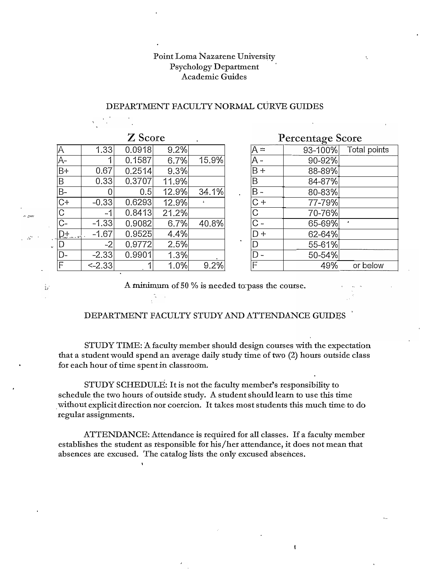# Point Loma Nazarene University Psychology Department Academic Guides

| Z Score          |              |        |       |       |           | <b>Percentage Score</b>   |         |              |  |
|------------------|--------------|--------|-------|-------|-----------|---------------------------|---------|--------------|--|
| Α                | 1.33         | 0.0918 | 9.2%  |       |           | A =                       | 93-100% | Total point  |  |
| A-               |              | 0.1587 | 6.7%  | 15.9% |           | A -                       | 90-92%  |              |  |
| $\overline{B+}$  | 0.67         | 0.2514 | 9.3%  |       |           | $B +$                     | 88-89%  |              |  |
| $\overline{B}$   | 0.33         | 0.3707 | 11.9% |       |           | Β                         | 84-87%  |              |  |
| $\overline{B}$ - |              | 0.5    | 12.9% | 34.1% | $\bullet$ | $B -$                     | 80-83%  |              |  |
| $\overline{C+}$  | $-0.33$      | 0.6293 | 12.9% |       |           | C+                        | 77-79%  |              |  |
| $\rm{C}$         | -1           | 0.8413 | 21.2% |       |           | C                         | 70-76%  |              |  |
| $\overline{C}$   | $-1.33$      | 0.9082 | 6.7%  | 40.8% |           | $\widehat{\phantom{a}}$ . | 65-69%  | $\mathbf{r}$ |  |
| $D_{\pm}$        | $-1.67$      | 0.9525 | 4.4%  |       |           | D+                        | 62-64%  |              |  |
| $\overline{D}$   | $-2$         | 0.9772 | 2.5%  |       |           |                           | 55-61%  |              |  |
| D-               | $-2.33$      | 0.9901 | 1.3%  |       |           |                           | 50-54%  |              |  |
| $\overline{F}$   | $\leq$ -2.33 |        | 1.0%  | 9.2%  |           | F                         | 49%     | or below     |  |

لي<br>مون م

Ã.

# DEPARTMENT FACULTY NORMAL CURVE GUIDES

|              | <b>L</b> Score |       |       |         | Percentage Score |         |              |  |  |
|--------------|----------------|-------|-------|---------|------------------|---------|--------------|--|--|
| 1.33         | 0.0918         | 9.2%  |       |         | $A =$            | 93-100% | Total points |  |  |
|              | 0.1587         | 6.7%  | 15.9% |         | A -              | 90-92%  |              |  |  |
| 0.67         | 0.2514         | 9.3%  |       |         | $B +$            | 88-89%  |              |  |  |
| 0.33         | 0.3707         | 11.9% |       |         | Β                | 84-87%  |              |  |  |
|              | 0.5            | 12.9% | 34.1% | $\cdot$ | B -              | 80-83%  |              |  |  |
| 0.33         | 0.6293         | 12.9% |       |         | $C +$            | 77-79%  |              |  |  |
| $-1$         | 0.8413         | 21.2% |       |         | C                | 70-76%  |              |  |  |
| $\cdot 1.33$ | 0.9082         | 6.7%  | 40.8% |         | $\overline{C}$ - | 65-69%  |              |  |  |
| 1.67         | 0.9525         | 4.4%  |       |         | $D +$            | 62-64%  |              |  |  |
| $-2$         | 0.9772         | 2.5%  |       |         |                  | 55-61%  |              |  |  |
| 2.33         | 0.9901         | 1.3%  |       |         | $D -$            | 50-54%  |              |  |  |
| 2.33         |                | 1.0%  | 9.2%  |         | F                | 49%     | or below     |  |  |

 $\pmb{\mathfrak{t}}$ 

A minimum of 50 % is needed to pass the course.

### DEPARTMENT FACULTY STUDY AND ATTENDANCE GUIDES

STUDY TIME: A faculty member should design courses with the expectation that a student would spend an average daily study time of two (2) hours outside class for each hour of time spent in classroom.

STUDY SCHEDULE: It is not the faculty member's responsibility to schedule the two hours of outside study. A student should learn to use this time \_without explicit direction nor coercion. It takes most students this much time-to do regular assignments.

ATTENDANCE: Attendance is requited for all classes. If a faculty member establishes the student as responsible for his /her attendance, it does not mean that absences are excused. The catalog lists the only excused absences.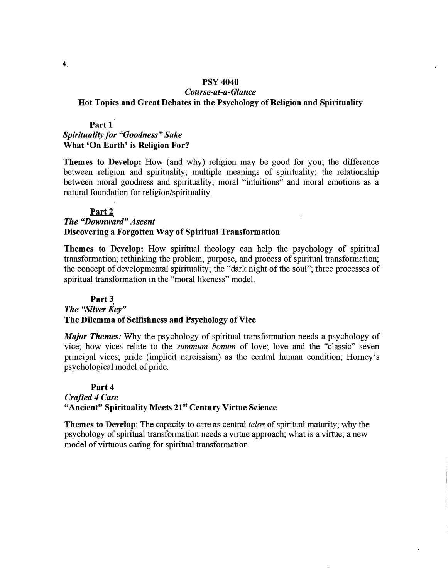# **PSY 4040**  *Course-at-a-Glance*  **Hot Topics and Great Debates in the Psychology of Religion and Spirituality**

# **Part 1**  *Spirituality for "Goodness" Sake*  **What 'On Earth' is Religion For?**

**Themes to Develop:** How (and why) religion may be good for you; the difference between religion and spirituality; multiple meanings of spirituality; the relationship between moral goodness and spirituality; moral "intuitions" and moral emotions as a natural foundation for religion/spirituality.

## Part<sub>2</sub>

# *The "Downward" Ascent*  **Discovering a Forgotten Way of Spiritual Transformation**

**Themes to Develop:** How spiritual theology can help the psychology of spiritual transformation; rethinking the problem, purpose, and process of spiritual transformation; the concept of developmental spirituality; the "dark night of the soul"; three processes of spiritual transformation in the "moral likeness" model.

# **Part3**  *The "Silver Key"*  **The Dilemma of Selfishness and Psychology of Vice**

*Major Themes:* Why the psychology of spiritual transformation needs a psychology of vice; how vices relate to the *summum bonum* of love; love and the "classic" seven principal vices; pride (implicit narcissism) as the central human condition; Horney's psychological model of pride.

# **Part4**  *Crafted 4 Care*  **"Ancient" Spirituality Meets 21st Century Virtue Science**

**Themes to Develop:** The capacity to care as central telos of spiritual maturity; why the psychology of spiritual transformation needs a virtue approach; what is a virtue; a new model of virtuous caring for spiritual transformation.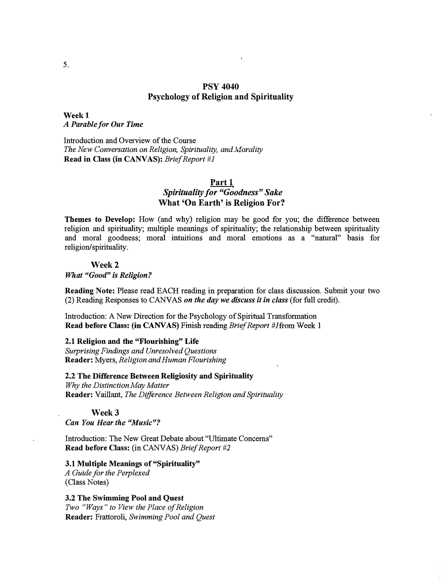# **PSY 4040 Psychology of Religion and Spirituality**

**Weekl**  *A Parable for Our Time* 

Introduction and Overview of the Course *The New Conversation on Religion, Spirituality, and Morality* **Read in Class (in CANVAS):** *Brief Report #1* 

## **Part 1**  *Spirituality for "Goodness" Sake*  **What 'On Earth' is Religion For?**

**Themes to Develop:** How (and why) religion may be good for you; the difference between religion and spirituality; multiple meanings of spirituality; the relationship between spirituality and moral goodness; moral intuitions and moral emotions as a "natural" basis for religion/spirituality.

### **Week2**

*What "Good" is Religion?* 

**Reading Note:** Please read EACH reading in preparation for class discussion. Submit your two (2) Reading Responses to CANVAS *on the day we discuss it in class* (for full credit).

Introduction: A New Direction for the Psychology of Spiritual Transformation **Read before Class: (in CANVAS) Finish reading** *Brief Report #Ifrom Week 1* 

## **2.1 Religion and the "Flourishing" Life**

*Surprising Findings and Unresolved Questions*  **Reader:** Myers, *Religion and Human Flourishing* 

2.2 The Difference Between Religiosity and Spirituality

*Why the Distinction May Matter*  **Reader:** Valliant, *The Difference Between Religion and Spirituality* 

**Week3** 

*Can You Hear the "Music"?* 

Introduction: The New Great Debate about "Ultimate Concerns" **Read** before **Class:** (in CANVAS) *Brief Report #2* 

## **3.1 Multiple Meanings of "Spirituality"**

*A Guide for the Perplexed*  (Class Notes)

3.2 The Swimming **Pool and Quest**  *Two "Ways" to View the Place of Religion*  **Reader:** Frattoroli, *Swimming Pool and Quest*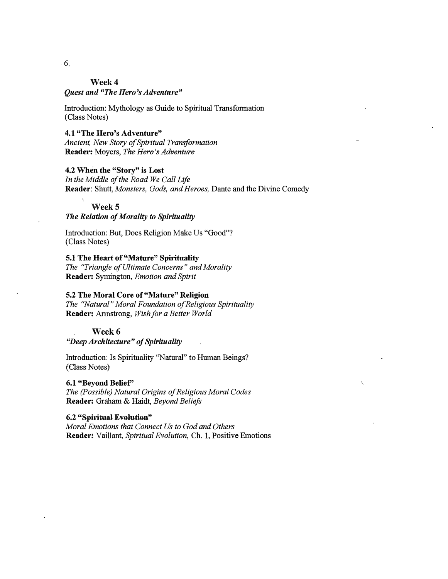### **Week4**

### *Quest and "The Hero's Adventure"*

Introduction: Mythology as Guide to Spiritual Transformation (Class Notes)

# **4.1 "The Hero's Adventure"**

*Ancient, New Story of Spiritual Transformation*  Reader: Moyers, *The Hero's Adventure* 

### **4.2 When the "Story" is Lost**

*In the Middle of the Road We Call Life*  **Reader:** Shutt, *Monsters, Gods, and Heroes,* Dante and the Divine Comedy

### **Week5**

## *The Relation of Morality to Spirituality*

Introduction: But, Does Religion Make Us "Good"? ( Class Notes)

# 5.1 The Heart of "Mature" Spirituality

The "Triangle of Ultimate Concerns" and Morality **Reader:** Symington, *Emotion and Spirit* 

## **5.2 The Moral Core of "Mature" Religion**

*The "Natural" Moral Foundation of Religious Spirituality*  **Reader:** Armstrong, *Wish for a Better World* 

## **Week6**

*"Deep Architecture" of Spirituality* 

Introduction: Is Spirituality "Natural" to Human Beings? ( Class Notes)

# **6.1 "Beyond Belief'**

*The (Possible) Natural Origins of Religious Moral Codes*  **Reader:** Graham & Haidt, *Beyond Beliefs* 

### **6.2 "Spiritual Evolution"**

*Moral Emotions that Connect Us to God and Others*  **Reader:** Valiant, *Spiritual Evolution,* Ch. 1, Positive Emotions

6.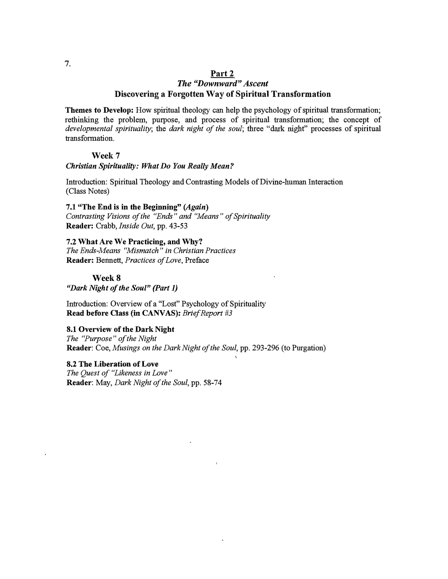# **Part2**

# *The "Downward" Ascent*  **Discovering a Forgotten Way of Spiritual Transformation**

Themes to Develop: How spiritual theology can help the psychology of spiritual transformation; rethinking the problem, purpose, and process of spiritual transformation; the concept of *developmental spirituality;* the *dark night of the soul;* three ''dark night" processes of spiritual transformation.

### **Week7**

### *Christian Spirituality: What Do You Really Mean?*

Introduction: Spiritual Theology and Contrasting Models of Divine-human Interaction (Class Notes)

**7.1 "The End is in the Beginning"** *(Again) Contrasting Visions of the "Ends" and ''Means" of Spirituality*  **Reader:** Crabb, *Inside Out,* pp. 43-53

**7.2 What Are We Practicing, and Why?**  *The Ends-Means ''Mismatch" in Christian Practices*  **Reader:** Bennett, *Practices of Love,* Preface

### Week 8

*"Dark Night of the Soul" (Part 1)* 

Introduction: Overview of a "Lost" Psychology of Spirituality **Read before Class** (in **CANVAS):-** *Brief Report #3* 

### **8.1 Overview of the Dark Night**

*The "Purpose" of the Night*  **Reader:** Coe, *Musings on the Dark Night of the Soul,* pp. 293-296 (to Purgation)

**8.2 The Liberation of Love**  *The Quest of "Likeness in Love"*  **Reader:** May, *Dark Night of the Soul,* pp. 58-74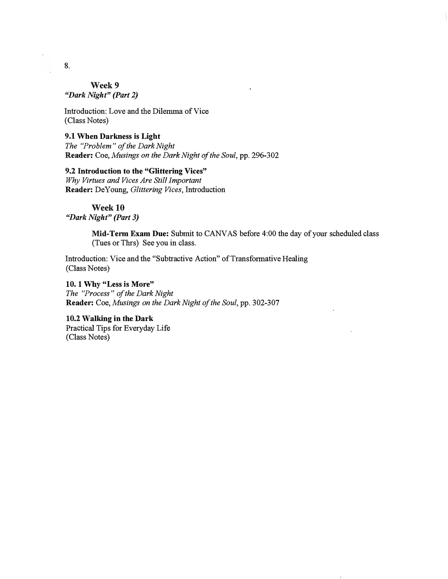**Week9**  *"Dark Night" (Part 2)* 

Introduction: Love and the Dilemma of Vice (Class Notes)

**9.1 When Darkness is Light**  *The "Problem" of the Dark Night*  **Reader. Coe,** *Musings on the Dark Night of the Soul,* pp. **2%-302** 

## **9.2 Introduction to the "Glittering Vices"**

*Why Virtues and Vices Are Still Important*  **Reader:** De Young, *Glittering Vices,* Introduction

Week 10 *"Dark Night" (Part 3)* 

> **Mid-Term Exam Due:** Submit to CANVAS before 4:00 the day of your scheduled class (Tues or Thrs) See you in class.

Introduction: Vice and the "Subtractive Action" of Transformative Healing (Class Notes)

**1 O. 1 Why "Less is More"**  *The "Process" of the Dark Night*  **Reader:** Coe, *Musings on the Dark Night of the Soul,* pp. 302-307

**10.2 Walking in the. Dark**  Practical Tips for Everyday **Life**  (Class Notes)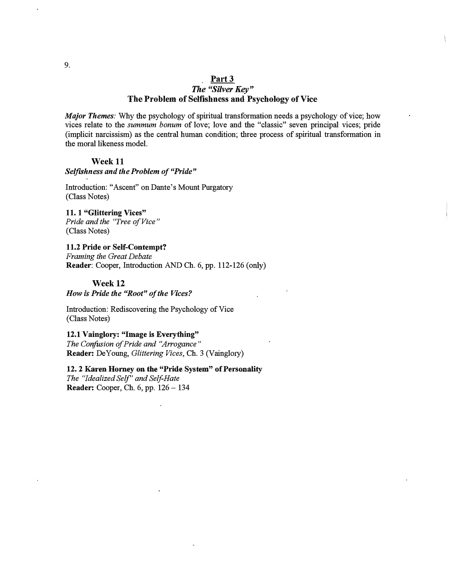## **Part3**  *The "Silver Key"*  **The Problem of Selfishness and Psychology of Vice**

*Major Themes:* Why the psychology of spiritual transformation needs a psychology of vice; how vices relate to the *summum bonum* of love; love and the "classic" seven principal vices; pride (implicit narcissism) as the central human condition; three process of spiritual transformation in the moral likeness model.

### **Week** 11

### *Selfishness and the Problem of "Pride"*

Introduction: "Ascent" on Dante's Mount Purgatory (Class Notes)

11. 1 **"Glittering Vices"** *Pride and the "Tree of Vice"* (Class Notes)

## 11.2 Pride or Self-Contempt?

*Framing the Great. Debate*  **Reader:** Cooper, Introduction AND Ch. 6, pp. 112-126 (only)

### **Week12**

*How is Pride the "Root" of the Vices?* 

Introduction: Rediscovering the Psychology of Vice (Class Notes)

# **12.1 Vainglory: "Image** is **Everything"**

*The Confusion of Pride and ''Arrogance"*  Reader: De Young, *Glittering Vices*, Ch. 3 (Vainglory)

## 12. 2 Karen Homey on the **"Pride** System" of **Personality**

*The "Idealized Self' and Self-Hate* **Reader:** Cooper, Ch. 6, pp. 126-134